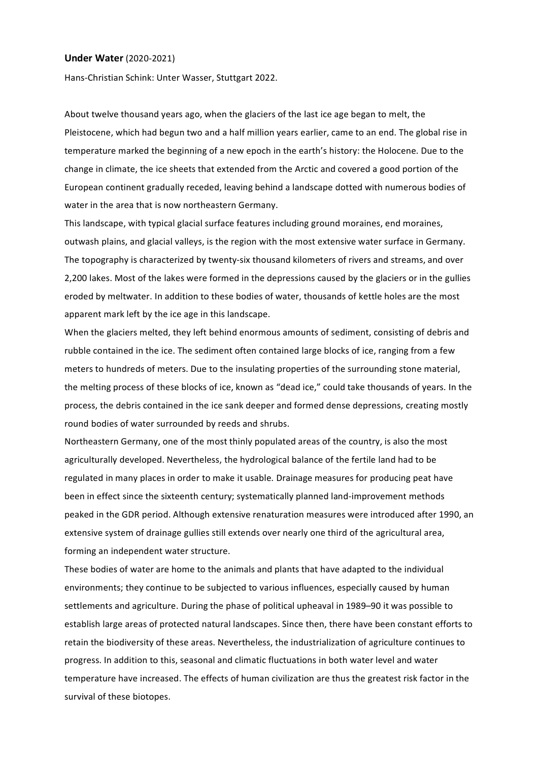## **Under Water** (2020-2021)

Hans-Christian Schink: Unter Wasser, Stuttgart 2022.

About twelve thousand years ago, when the glaciers of the last ice age began to melt, the Pleistocene, which had begun two and a half million years earlier, came to an end. The global rise in temperature marked the beginning of a new epoch in the earth's history: the Holocene. Due to the change in climate, the ice sheets that extended from the Arctic and covered a good portion of the European continent gradually receded, leaving behind a landscape dotted with numerous bodies of water in the area that is now northeastern Germany.

This landscape, with typical glacial surface features including ground moraines, end moraines, outwash plains, and glacial valleys, is the region with the most extensive water surface in Germany. The topography is characterized by twenty-six thousand kilometers of rivers and streams, and over 2,200 lakes. Most of the lakes were formed in the depressions caused by the glaciers or in the gullies eroded by meltwater. In addition to these bodies of water, thousands of kettle holes are the most apparent mark left by the ice age in this landscape.

When the glaciers melted, they left behind enormous amounts of sediment, consisting of debris and rubble contained in the ice. The sediment often contained large blocks of ice, ranging from a few meters to hundreds of meters. Due to the insulating properties of the surrounding stone material, the melting process of these blocks of ice, known as "dead ice," could take thousands of years. In the process, the debris contained in the ice sank deeper and formed dense depressions, creating mostly round bodies of water surrounded by reeds and shrubs.

Northeastern Germany, one of the most thinly populated areas of the country, is also the most agriculturally developed. Nevertheless, the hydrological balance of the fertile land had to be regulated in many places in order to make it usable. Drainage measures for producing peat have been in effect since the sixteenth century; systematically planned land-improvement methods peaked in the GDR period. Although extensive renaturation measures were introduced after 1990, an extensive system of drainage gullies still extends over nearly one third of the agricultural area, forming an independent water structure.

These bodies of water are home to the animals and plants that have adapted to the individual environments; they continue to be subjected to various influences, especially caused by human settlements and agriculture. During the phase of political upheaval in 1989–90 it was possible to establish large areas of protected natural landscapes. Since then, there have been constant efforts to retain the biodiversity of these areas. Nevertheless, the industrialization of agriculture continues to progress. In addition to this, seasonal and climatic fluctuations in both water level and water temperature have increased. The effects of human civilization are thus the greatest risk factor in the survival of these biotopes.